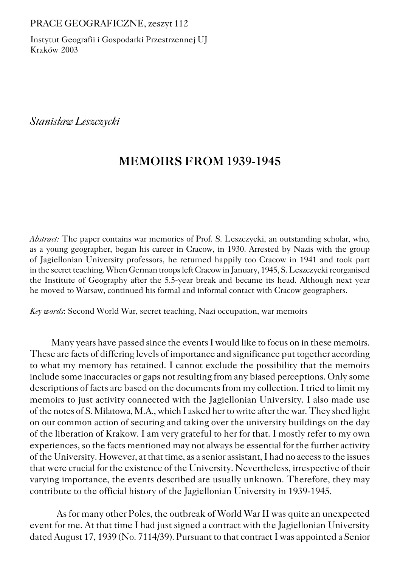## PRACE GEOGRAFICZNE, zeszyt 112

Instytut Geografii i Gospodarki Przestrzennej UJ Kraków 2003

*Stanisław Leszczycki*

## **MEMOIRS FROM 1939−1945**

*Abstract:* The paper contains war memories of Prof. S. Leszczycki, an outstanding scholar, who, as a young geographer, began his career in Cracow, in 1930. Arrested by Nazis with the group of Jagiellonian University professors, he returned happily too Cracow in 1941 and took part in the secret teaching. When German troops left Cracow in January, 1945, S. Leszczycki reorganised the Institute of Geography after the 5.5−year break and became its head. Although next year he moved to Warsaw, continued his formal and informal contact with Cracow geographers.

*Key words*: Second World War, secret teaching, Nazi occupation, war memoirs

Many years have passed since the events I would like to focus on in these memoirs. These are facts of differing levels of importance and significance put together according to what my memory has retained. I cannot exclude the possibility that the memoirs include some inaccuracies or gaps not resulting from any biased perceptions. Only some descriptions of facts are based on the documents from my collection. I tried to limit my memoirs to just activity connected with the Jagiellonian University. I also made use of the notes of S. Milatowa, M.A., which I asked her to write after the war. They shed light on our common action of securing and taking over the university buildings on the day of the liberation of Krakow. I am very grateful to her for that. I mostly refer to my own experiences, so the facts mentioned may not always be essential for the further activity of the University. However, at that time, as a senior assistant, I had no access to the issues that were crucial for the existence of the University. Nevertheless, irrespective of their varying importance, the events described are usually unknown. Therefore, they may contribute to the official history of the Jagiellonian University in 1939−1945.

As for many other Poles, the outbreak of World War II was quite an unexpected event for me. At that time I had just signed a contract with the Jagiellonian University dated August 17, 1939 (No. 7114/39). Pursuant to that contract I was appointed a Senior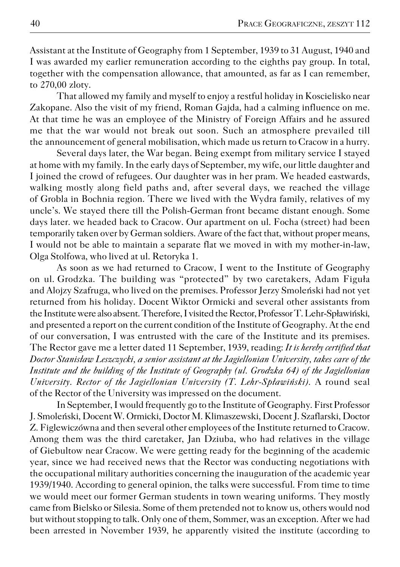Assistant at the Institute of Geography from 1 September, 1939 to 31 August, 1940 and I was awarded my earlier remuneration according to the eighths pay group. In total, together with the compensation allowance, that amounted, as far as I can remember, to 270,00 zloty.

That allowed my family and myself to enjoy a restful holiday in Koscielisko near Zakopane. Also the visit of my friend, Roman Gajda, had a calming influence on me. At that time he was an employee of the Ministry of Foreign Affairs and he assured me that the war would not break out soon. Such an atmosphere prevailed till the announcement of general mobilisation, which made us return to Cracow in a hurry.

Several days later, the War began. Being exempt from military service I stayed at home with my family. In the early days of September, my wife, our little daughter and I joined the crowd of refugees. Our daughter was in her pram. We headed eastwards, walking mostly along field paths and, after several days, we reached the village of Grobla in Bochnia region. There we lived with the Wydra family, relatives of my uncle's. We stayed there till the Polish−German front became distant enough. Some days later. we headed back to Cracow. Our apartment on ul. Focha (street) had been temporarily taken over by German soldiers. Aware of the fact that, without proper means, I would not be able to maintain a separate flat we moved in with my mother−in−law, Olga Stolfowa, who lived at ul. Retoryka 1.

As soon as we had returned to Cracow, I went to the Institute of Geography on ul.Grodzka. The building was "protected" by two caretakers, Adam Figuła and Alojzy Szafruga, who lived on the premises. Professor Jerzy Smoleński had not yet returned from his holiday. Docent Wiktor Ormicki and several other assistants from the Institute were also absent. Therefore, I visited the Rector, Professor T. Lehr−Spławiński, and presented a report on the current condition of the Institute of Geography. At the end of our conversation, I was entrusted with the care of the Institute and its premises. The Rector gave me a letter dated 11 September, 1939, reading: *It is hereby certified that Doctor Stanisław Leszczycki, a senior assistant at the Jagiellonian University, takes care of the Institute and the building of the Institute of Geography (ul. Grodzka 64) of the Jagiellonian University. Rector of the Jagiellonian University (T. Lehr−Spławiński).* A round seal of the Rector of the University was impressed on the document.

In September, I would frequently go to the Institute of Geography. First Professor J. Smoleński, Docent W. Ormicki, Doctor M. Klimaszewski, Docent J. Szaflarski, Doctor Z. Figlewiczówna and then several other employees of the Institute returned to Cracow. Among them was the third caretaker, Jan Dziuba, who had relatives in the village of Giebultow near Cracow. We were getting ready for the beginning of the academic year, since we had received news that the Rector was conducting negotiations with the occupational military authorities concerning the inauguration of the academic year 1939/1940. According to general opinion, the talks were successful. From time to time we would meet our former German students in town wearing uniforms. They mostly came from Bielsko or Silesia. Some of them pretended not to know us, others would nod but without stopping to talk. Only one of them, Sommer, was an exception. After we had been arrested in November 1939, he apparently visited the institute (according to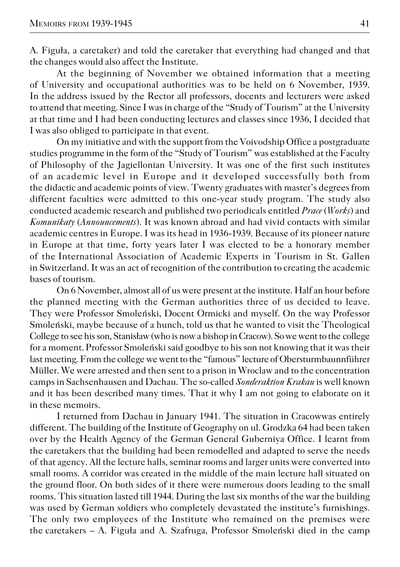A. Figuła, a caretaker) and told the caretaker that everything had changed and that the changes would also affect the Institute.

At the beginning of November we obtained information that a meeting of University and occupational authorities was to be held on 6 November, 1939. In the address issued by the Rector all professors, docents and lecturers were asked to attend that meeting. Since I was in charge of the "Study of Tourism" at the University at that time and I had been conducting lectures and classes since 1936, I decided that I was also obliged to participate in that event.

On my initiative and with the support from the Voivodship Office a postgraduate studies programme in the form of the "Study of Tourism" was established at the Faculty of Philosophy of the Jagiellonian University. It was one of the first such institutes of anacademic level in Europe and it developed successfully both from the didactic and academic points of view. Twenty graduates with master's degrees from different faculties were admitted to this one−year study program. The study also conducted academic research and published two periodicals entitled *Prace* (*Works*) and *Komunikaty* (*Announcements*). It was known abroad and had vivid contacts with similar academic centres in Europe. I was its head in 1936−1939. Because of its pioneer nature in Europe at that time, forty years later I was elected to be a honorary member of the International Association of Academic Experts in Tourism in St. Gallen in Switzerland. It was an act of recognition of the contribution to creating the academic bases of tourism.

On 6 November, almost all of us were present at the institute. Half an hour before the planned meeting with the German authorities three of us decided to leave. They were Professor Smoleński, Docent Ormicki and myself. On the way Professor Smoleński, maybe because of a hunch, told us that he wanted to visit the Theological College to see his son, Stanisław (who is now a bishop in Cracow). So we went to the college for a moment. Professor Smoleński said goodbye to his son not knowing that it was their last meeting. From the college we went to the "famous" lecture of Obersturmbaunnführer Müller. We were arrested and then sent to a prison in Wroclaw and to the concentration camps in Sachsenhausen and Dachau. The so−called *Sonderaktion Krakau* is well known and it has been described many times. That it why I am not going to elaborate on it in these memoirs.

I returned from Dachau in January 1941. The situation in Cracowwas entirely different. The building of the Institute of Geography on ul. Grodzka 64 had been taken over by the Health Agency of the German General Guberniya Office. I learnt from the caretakers that the building had been remodelled and adapted to serve the needs of that agency. All the lecture halls, seminar rooms and larger units were converted into small rooms. A corridor was created in the middle of the main lecture hall situated on theground floor. On both sides of it there were numerous doors leading to the small rooms. This situation lasted till 1944. During the last six months of the war the building was used by German soldiers who completely devastated the institute's furnishings. The only two employees of the Institute who remained on the premises were thecaretakers – A. Figuła and A. Szafruga, Professor Smoleński died in the camp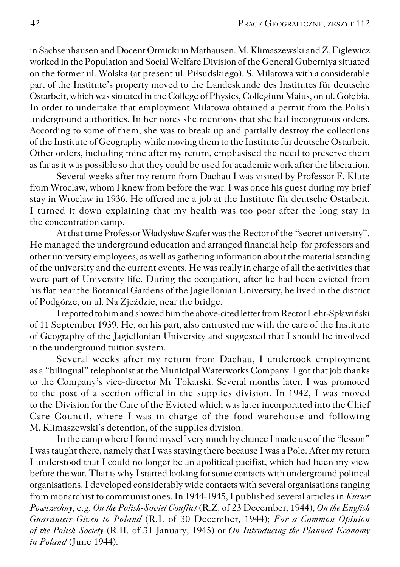in Sachsenhausen and Docent Ormicki in Mathausen. M. Klimaszewski and Z. Figlewicz worked in the Population and Social Welfare Division of the General Guberniya situated on the former ul. Wolska (at present ul. Piłsudskiego). S. Milatowa with a considerable part of the Institute's property moved to the Landeskunde des Institutes für deutsche Ostarbeit, which was situated in the College of Physics, Collegium Maius, on ul. Gołębia. In order to undertake that employment Milatowa obtained a permit from the Polish underground authorities. In her notes she mentions that she had incongruous orders. According to some of them, she was to break up and partially destroy the collections of the Institute of Geography while moving them to the Institute für deutsche Ostarbeit. Other orders, including mine after my return, emphasised the need to preserve them as far as it was possible so that they could be used for academic work after the liberation.

Several weeks after my return from Dachau I was visited by Professor F. Klute from Wroclaw, whom I knew from before the war. I was once his guest during my brief stay in Wroclaw in 1936. He offered me a job at the Institute für deutsche Ostarbeit. I turned it down explaining that my health was too poor after the long stay in the concentration camp.

At that time Professor Władysław Szafer was the Rector of the "secret university". He managed the underground education and arranged financial help for professors and other university employees, as well as gathering information about the material standing of the university and the current events. He was really in charge of all the activities that were part of University life. During the occupation, after he hadbeen evicted from his flat near the Botanical Gardens of the Jagiellonian University, he lived in the district of Podgórze, on ul. Na Zjeździe, near the bridge.

I reported to him and showed him the above−cited letter from Rector Lehr−Spławiński of 11 September 1939. He, on his part, also entrusted me with the care of the Institute of Geography of the Jagiellonian University and suggested that I should be involved in the underground tuition system.

Several weeks after my return from Dachau, I undertook employment as a "bilingual" telephonist at the Municipal Waterworks Company. I got that job thanks to the Company's vice−director Mr Tokarski. Several months later, I was promoted to the post of a section official in the supplies division. In 1942, I was moved to the Division for the Care of the Evicted which was later incorporated into the Chief Care Council, where I was in charge of the food warehouse and following M. Klimaszewski's detention, of the supplies division.

In the camp where I found myself very much by chance I made use of the "lesson" I was taught there, namely that I was staying there because I was a Pole. After my return I understood that I could no longer be an apolitical pacifist, which had been my view before the war. That is why I started looking for some contacts with underground political organisations. I developed considerably wide contacts with several organisations ranging from monarchist to communist ones. In 1944−1945, I published several articles in *Kurier Powszechny*, e.g. *On the Polish−Soviet Conflict* (R.Z. of 23 December, 1944), *On the English Guarantees Given to Poland* (R.I. of 30 December, 1944); *For a Common Opinion of the Polish Society* (R.II. of 31 January, 1945) or *On Introducing the Planned Economy in Poland* (June 1944).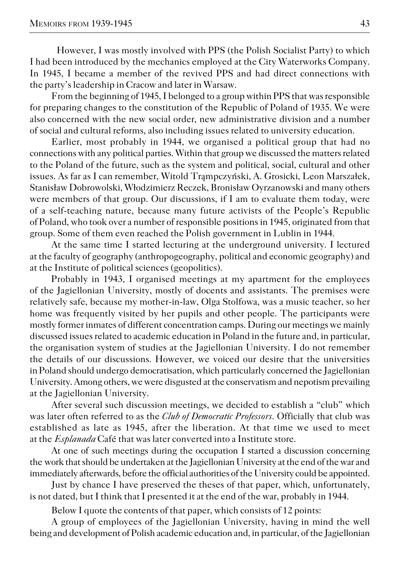However, I was mostly involved with PPS (the Polish Socialist Party) to which I had been introduced by the mechanics employed at the City Waterworks Company. In 1945, I became a member of the revived PPS and had direct connections with the party's leadership in Cracow and later in Warsaw.

From the beginning of 1945, I belonged to a group within PPS that was responsible for preparing changes to the constitution of the Republic of Poland of 1935. We were also concerned with the new social order, new administrative division and a number of social and cultural reforms, also including issues related to university education.

Earlier, most probably in 1944, we organised a political group that had no connections with any political parties. Within that group we discussed the matters related to the Poland of the future, such as the system and political, social, cultural and other issues. As far as I can remember, Witold Trąmpczyński, A. Grosicki, Leon Marszałek, Stanisław Dobrowolski, Włodzimierz Reczek, Bronisław Oyrzanowski and many others were members of that group. Our discussions, if I am to evaluate them today, were of a self−teaching nature, because many future activists of the People's Republic of Poland, who took over a number of responsible positions in 1945, originated from that group. Some of them even reached the Polish government in Lublin in 1944.

At the same time I started lecturing at the underground university. I lectured at the faculty of geography (anthropogeography, political and economic geography) and at the Institute of political sciences (geopolitics).

Probably in 1943, I organised meetings at my apartment for the employees of the Jagiellonian University, mostly of docents and assistants. The premises were relatively safe, because my mother−in−law, Olga Stolfowa, was a music teacher, so her home was frequently visited by her pupils and other people. The participants were mostly former inmates of different concentration camps. During our meetings we mainly discussed issues related to academic education in Poland in the future and, in particular, the organisation system of studies at the Jagiellonian University. I do not remember the details of our discussions. However, we voiced our desire that the universities in Poland should undergo democratisation, which particularly concerned the Jagiellonian University. Among others, we were disgusted at the conservatism and nepotism prevailing at the Jagiellonian University.

After several such discussion meetings, we decided to establish a "club" which was later often referred to as the *Club of Democratic Professors*. Officially that club was established as late as 1945, after the liberation. At that time we used to meet at the*Esplanada* Café that was later converted into a Institute store.

At one of such meetings during the occupation I started a discussion concerning thework that should be undertaken at the Jagiellonian University at the end of the war and immediately afterwards, before the official authorities of the University could be appointed.

Just by chance I have preserved the theses of that paper, which, unfortunately, is not dated, but I think that I presented it at the end of the war, probably in 1944.

Below I quote the contents of that paper, which consists of 12 points:

A group of employees of the Jagiellonian University, having in mind the well being and development of Polish academic education and, in particular, of the Jagiellonian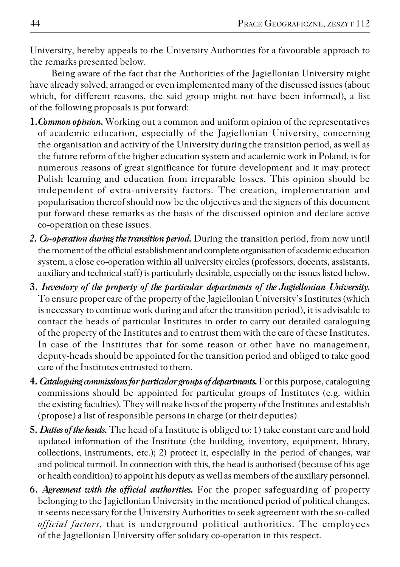University, hereby appeals to the University Authorities for a favourable approach to the remarks presented below.

Being aware of the fact that the Authorities of the Jagiellonian University might have already solved, arranged or even implemented many of the discussed issues (about which, for different reasons, the said group might not have been informed), a list of the following proposals is put forward:

- **1.***Common opinion***.** Working out a common and uniform opinion of the representatives of academic education, especially of the Jagiellonian University, concerning the organisation and activity of the University during the transition period, as well as the future reform of the higher education system and academic work in Poland, is for numerous reasons of great significance for future development and it may protect Polish learning and education from irreparable losses. This opinion should be independent of extra−university factors. The creation, implementation and popularisation thereof should now be the objectives and the signers of this document put forward these remarks as the basis of the discussed opinion and declare active co−operation on these issues.
- 2. *Co-operation during the transition period*. During the transition period, from now until the moment of the official establishment and complete organisation of academic education system, a close co−operation within all university circles (professors, docents, assistants, auxiliary and technical staff) is particularly desirable, especially on the issues listed below.
- **3.** *Inventory of the property of the particular departments of the Jagiellonian University.* To ensure proper care of the property of the Jagiellonian University's Institutes (which is necessary to continue work during and after the transition period), it is advisable to contact the heads of particular Institutes in order to carry out detailed cataloguing of the property of the Institutes and to entrust them with the care of these Institutes. In case of the Institutes that for some reason or other have no management, deputy−heads should be appointed for the transition period and obliged to take good care of the Institutes entrusted to them.
- **4.** *Cataloguing commissions for particular groups of departments.* For this purpose, cataloguing commissions should be appointed for particular groups of Institutes (e.g. within the existing faculties). They will make lists of the property of the Institutes and establish (propose) a list of responsible persons in charge (or their deputies).
- **5.** *Duties of the heads.* The head of a Institute is obliged to: 1) take constant care and hold updated information of the Institute (the building, inventory, equipment, library, collections, instruments, etc.); 2) protect it, especially in the period of changes, war and political turmoil. In connection with this, the head is authorised (because of his age or health condition) to appoint his deputy as well as members of the auxiliary personnel.
- **6.** *Agreement with the official authorities.* For the proper safeguarding of property belonging to the Jagiellonian University in the mentioned period of political changes, it seems necessary for the University Authorities to seek agreement with the so−called *official factors*, that is underground political authorities. The employees of the Jagiellonian University offer solidary co−operation in this respect.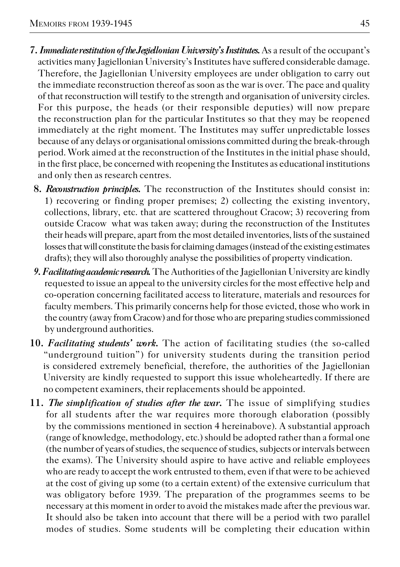- **7.** *Immediate restitution of the Jegiellonian University's Institutes.*As a result ofthe occupant's activities many Jagiellonian University's Institutes have suffered considerable damage. Therefore, the Jagiellonian University employees are under obligation to carry out the immediate reconstruction thereof as soon as the war is over. The pace and quality of that reconstruction will testify to the strength and organisation of university circles. For this purpose, the heads (or their responsible deputies) will now prepare the reconstruction plan for the particular Institutes so that they may be reopened immediately at the right moment. The Institutes may suffer unpredictable losses because of any delays or organisational omissions committed during the break−through period. Work aimed at the reconstruction of the Institutes in the initial phase should, in the first place, be concerned with reopening the Institutes as educational institutions and only then as research centres.
	- **8.** *Reconstruction principles.* The reconstruction of the Institutes should consist in: 1) recovering or finding proper premises; 2) collecting the existing inventory, collections, library, etc. that are scattered throughout Cracow; 3) recovering from outside Cracow what was taken away; during the reconstruction of the Institutes their heads will prepare, apart from the most detailed inventories, lists of the sustained losses that will constitute the basis for claiming damages (instead of the existing estimates drafts); they will also thoroughly analyse the possibilities of property vindication.
	- *9. Facilitating academic research.* The Authorities of the Jagiellonian University are kindly requested to issue an appeal to the university circles for the most effective help and co−operation concerning facilitated access to literature, materials and resources for faculty members. This primarily concerns help for those evicted, those who work in the country (away from Cracow) and for those who are preparing studies commissioned by underground authorities.
- **10.** *Facilitating students' work.* The action of facilitating studies (the so−called "underground tuition") for university students during the transition period is considered extremely beneficial, therefore, the authorities of the Jagiellonian University are kindly requested to support this issue wholeheartedly. If there are no competent examiners, their replacements should be appointed.
- **11.** *The simplification of studies after the war.* The issue of simplifying studies for all students after the war requires more thorough elaboration (possibly by the commissions mentioned in section 4 hereinabove). A substantial approach (range of knowledge, methodology, etc.) should be adopted rather than a formal one (the number of years of studies, the sequence of studies, subjects or intervals between the exams). The University should aspire to have active and reliable employees who are ready to accept the work entrusted to them, even if that were to be achieved at the cost of giving up some (to a certain extent) of the extensive curriculum that was obligatory before 1939. The preparation of the programmes seems to be necessary at this moment in order to avoid the mistakes made after the previous war. It should also be taken into account that there will be a period with two parallel modes of studies. Some students will be completing their education within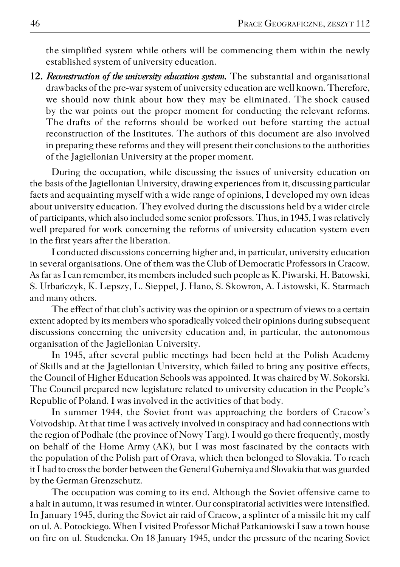the simplified system while others will be commencing them within the newly established system of university education.

**12.** *Reconstruction of the university education system.* The substantial and organisational drawbacks of the pre−war system of university education are well known. Therefore, we should now think about how they may be eliminated. The shock caused by the war points out the proper moment for conducting the relevant reforms. The drafts of the reforms should be worked out before starting the actual reconstruction of the Institutes. The authors of this document are also involved in preparing these reforms and they will present their conclusions to the authorities of the Jagiellonian University at the proper moment.

During the occupation, while discussing the issues of university education on the basis of the Jagiellonian University, drawing experiences from it, discussing particular facts and acquainting myself with a wide range of opinions, I developed my own ideas about university education. They evolved during the discussions held by a wider circle of participants, which also included some senior professors. Thus, in 1945, I was relatively well prepared for work concerning the reforms of university education system even in the first years after the liberation.

I conducted discussions concerning higher and, in particular, university education in several organisations. One of them was the Club of Democratic Professors in Cracow. As far as I can remember, its members included such people as K. Piwarski, H. Batowski, S. Urbańczyk, K. Lepszy, L. Sieppel, J. Hano, S. Skowron, A. Listowski, K. Starmach and many others.

The effect of that club's activity was the opinion or a spectrum of views to a certain extent adopted by its members who sporadically voiced their opinions during subsequent discussions concerning the university education and, in particular, the autonomous organisation of the Jagiellonian University.

In 1945, after several public meetings had been held at the Polish Academy of Skills and at the Jagiellonian University, which failed to bring any positive effects, the Council of Higher Education Schools was appointed. It was chaired by W. Sokorski. The Council prepared new legislature related to university education in the People's Republic of Poland. I was involved in the activities of that body.

In summer 1944, the Soviet front was approaching the borders of Cracow's Voivodship. At that time I was actively involved in conspiracy and had connections with the region of Podhale (the province of Nowy Targ). I would go there frequently, mostly on behalf of the Home Army (AK), but I was most fascinated by the contacts with the population of the Polish part of Orava, which then belonged to Slovakia. To reach it I had to cross the border between the General Guberniya and Slovakia that was guarded by the German Grenzschutz.

The occupation was coming to its end. Although the Soviet offensive came to a halt in autumn, it was resumed in winter. Our conspiratorial activities were intensified. In January 1945, during the Soviet air raid of Cracow, a splinter of a missile hit my calf on ul. A. Potockiego. When I visited Professor Michał Patkaniowski I saw a town house on fire on ul. Studencka. On 18 January 1945, under the pressure of the nearing Soviet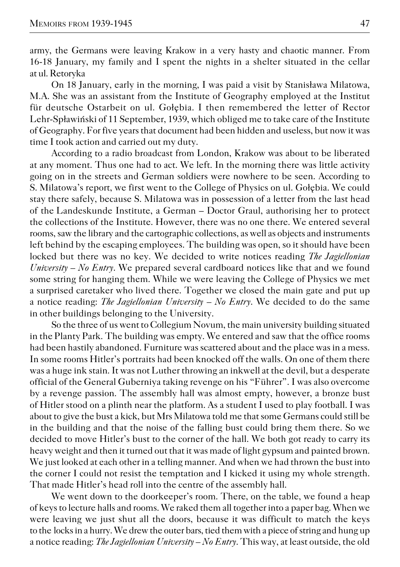army, the Germans were leaving Krakow in a very hasty and chaotic manner. From 16−18 January, my family and I spent the nights in a shelter situated in the cellar at ul. Retoryka

On 18 January, early in the morning, I was paid a visit by Stanisława Milatowa, M.A. She was an assistant from the Institute of Geography employed at the Institut für deutsche Ostarbeit on ul. Gołębia. I then remembered the letter of Rector Lehr−Spławiński of 11 September, 1939, which obliged me to take care of the Institute of Geography. For five years that document had been hidden and useless, but now it was time I took action and carried out my duty.

According to a radio broadcast from London, Krakow was about to be liberated at any moment. Thus one had to act. We left. In the morning there was little activity going on in the streets and German soldiers were nowhere to be seen. According to S. Milatowa's report, we first went to the College of Physics on ul. Gołębia. We could stay there safely, because S. Milatowa was in possession of a letter from the last head of theLandeskunde Institute, a German – Doctor Graul, authorising her to protect the collections of the Institute. However, there was no one there. We entered several rooms, saw the library and the cartographic collections, as well as objects and instruments left behind by the escaping employees. The building was open, so it should have been locked but there was no key. We decided to write notices reading *The Jagiellonian University – No Entry*. We prepared several cardboard notices like that and we found some string for hanging them. While we were leaving the College of Physics we met a surprised caretaker who lived there. Together we closed the main gate and put up a notice reading: *The Jagiellonian University – No Entry*. We decided to do the same in other buildings belonging to the University.

So the three of us went to Collegium Novum, the main university building situated in the Planty Park. The building was empty. We entered and saw that the office rooms had been hastily abandoned. Furniture was scattered about and the place was in a mess. In some rooms Hitler's portraits had been knocked off the walls. On one of them there was a huge ink stain. It was not Luther throwing an inkwell at the devil, but a desperate official of the General Guberniya taking revenge on his "Führer". I was also overcome by a revenge passion. The assembly hall was almost empty, however, a bronze bust of Hitler stood on a plinth near the platform. As a student I used to play football. I was about to give the bust a kick, but Mrs Milatowa told me that some Germans could still be in the building and that the noise of the falling bust could bring them there. So we decided to move Hitler's bust to the corner of the hall. We both got ready to carry its heavy weight and then it turned out that it was made of light gypsum and painted brown. We just looked at each other in a telling manner. And when we had thrown the bust into the corner I could not resist the temptation and I kicked it using my whole strength. That made Hitler's head roll into the centre of the assembly hall.

We went down to the doorkeeper's room. There, on the table, we found a heap of keys to lecture halls and rooms. We raked them all together into a paper bag. When we were leaving we just shut all the doors, because it was difficult to match the keys to the locks in a hurry. We drew the outer bars, tied them with a piece of string and hung up a notice reading: *The Jagiellonian University – No Entry*. This way, at least outside, the old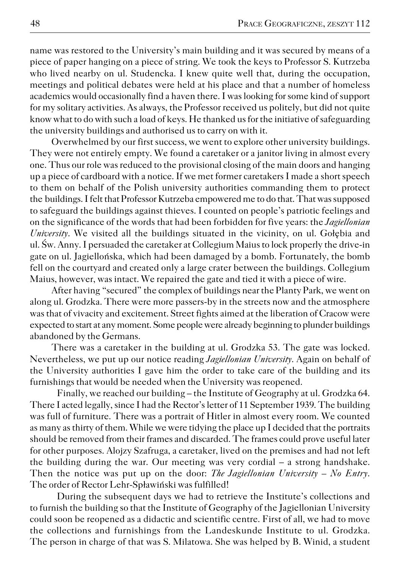name was restored to the University's main building and it was secured by means of a piece of paper hanging on a piece of string. We took the keys to Professor S. Kutrzeba who lived nearby on ul. Studencka. I knew quite well that, during the occupation, meetings and political debates were held at his place and that a number of homeless academics would occasionally find a haven there. I was looking for some kind of support for my solitary activities. As always, the Professor received us politely, but did not quite know what to do with such a load of keys. He thanked us for the initiative of safeguarding the university buildings and authorised us to carry on with it.

Overwhelmed by our first success, we went to explore other university buildings. They were not entirely empty. We found a caretaker or a janitor living in almost every one. Thus our role was reduced to the provisional closing of the main doors and hanging up a piece of cardboard with a notice. If we met former caretakers I made a short speech to them on behalf of the Polish university authorities commanding them to protect the buildings. I felt that Professor Kutrzeba empowered me to do that. That was supposed to safeguard the buildings against thieves. I counted on people's patriotic feelings and on the significance of the words that had been forbidden for five years: the *Jagiellonian University*. We visited all the buildings situated in the vicinity, on ul. Gołębia and ul. Św. Anny. I persuaded the caretaker at Collegium Maius to lock properly the drive−in gate on ul. Jagiellońska, which had been damaged by a bomb. Fortunately, the bomb fell on the courtyard and created only a large crater between the buildings. Collegium Maius, however, was intact. We repaired the gate and tied it with a piece of wire.

After having "secured" the complex of buildings near the Planty Park, we went on along ul. Grodzka. There were more passers−by in the streets now and the atmosphere was that of vivacity and excitement. Street fights aimed at the liberation of Cracow were expected to start at any moment. Some people were already beginning to plunder buildings abandoned by the Germans.

There was a caretaker in the building at ul. Grodzka 53. The gate was locked. Nevertheless, we put up our notice reading *Jagiellonian University*. Again on behalf of the University authorities I gave him the order to take care of the building and its furnishings that would be needed when the University was reopened.

Finally, we reached our building – the Institute of Geography at ul. Grodzka 64. There I acted legally, since I had the Rector's letter of 11 September 1939. The building was full of furniture. There was a portrait of Hitler in almost every room. We counted as many as thirty of them. While we were tidying the place up I decided that the portraits should be removed from their frames and discarded. The frames could prove useful later for other purposes. Alojzy Szafruga, a caretaker, lived on the premises and had not left the building during the war. Our meeting was very cordial – a strong handshake. Then the notice was put up on the door: *The Jagiellonian University – No Entry*. The order of Rector Lehr−Spławiński was fulfilled!

During the subsequent days we had to retrieve the Institute's collections and to furnish the building so that the Institute of Geography of the Jagiellonian University could soon be reopened as a didactic and scientific centre. First of all, we had to move the collections and furnishings from the Landeskunde Institute to ul. Grodzka. The person in charge of that was S. Milatowa. She was helped by B. Winid, a student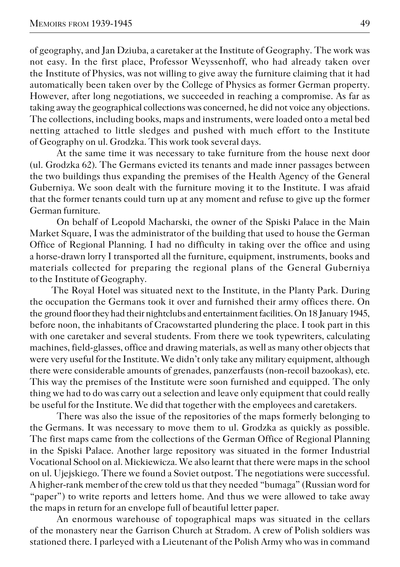of geography, and Jan Dziuba, a caretaker at the Institute of Geography. The work was not easy. In the first place, Professor Weyssenhoff, who had already taken over the Institute of Physics, was not willing to give away the furniture claiming that it had automatically been taken over by the College of Physics as former German property. However, after long negotiations, we succeeded in reaching a compromise. As far as taking away the geographical collections was concerned, he did not voice any objections. The collections, including books, maps and instruments, were loaded onto a metal bed netting attached to little sledges and pushed with much effort to the Institute of Geography on ul. Grodzka. This work took several days.

At the same time it was necessary to take furniture from the house next door (ul. Grodzka 62). The Germans evicted its tenants and made inner passages between the two buildings thus expanding the premises of the Health Agency of the General Guberniya. We soon dealt with the furniture moving it to the Institute. I was afraid that the former tenants could turn up at any moment and refuse to give up the former German furniture.

On behalf of Leopold Macharski, the owner of the Spiski Palace in the Main Market Square, I was the administrator of the building that used to house the German Office of Regional Planning. I had no difficulty in taking over the office and using a horse−drawn lorry I transported all the furniture, equipment, instruments, books and materials collected for preparing the regional plans of the General Guberniya to the Institute of Geography.

The Royal Hotel was situated next to the Institute, in the Planty Park. During the occupation the Germans took it over and furnished their army offices there. On theground floor they had their nightclubs and entertainment facilities. On 18 January 1945, before noon, the inhabitants of Cracowstarted plundering the place. I took part in this with one caretaker and several students. From there we took typewriters, calculating machines, field−glasses, office and drawing materials, as well as many other objects that were very useful for the Institute. We didn't only take any military equipment, although there were considerable amounts of grenades, panzerfausts (non−recoil bazookas), etc. This way the premises of the Institute were soon furnished and equipped. The only thing we had to do was carry out a selection and leave only equipment that could really be useful for the Institute. We did that together with the employees and caretakers.

There was also the issue of the repositories of the maps formerly belonging to theGermans. It was necessary to move them to ul. Grodzka as quickly as possible. The first maps came from the collections of the German Office of Regional Planning in the Spiski Palace. Another large repository was situated in the former Industrial Vocational School on al. Mickiewicza. We also learnt that there were maps in the school on ul. Ujejskiego. There we found a Soviet outpost. The negotiations were successful. A higher−rank member of the crew told us that they needed "bumaga" (Russian word for "paper") to write reports and letters home. And thus we were allowed to take away the maps in return for an envelope full of beautiful letter paper.

An enormous warehouse of topographical maps was situated in the cellars of the monastery near the Garrison Church at Stradom. A crew of Polish soldiers was stationed there. I parleyed with a Lieutenant of the Polish Army who was in command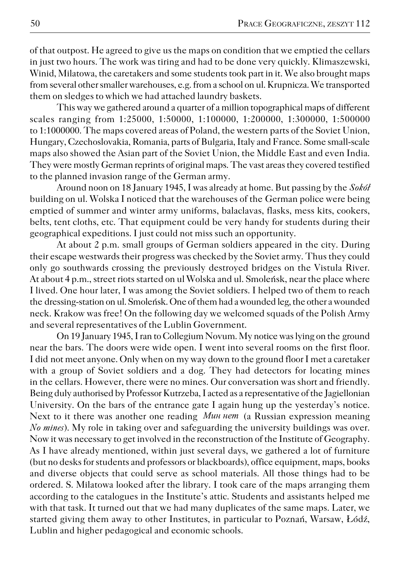of that outpost. He agreed to give us the maps on condition that we emptied the cellars in just two hours. The work was tiring and had to be done very quickly. Klimaszewski, Winid, Milatowa, the caretakers and some students took part in it. We also brought maps from several other smaller warehouses, e.g. from a school on ul. Krupnicza. We transported them on sledges to which we had attached laundry baskets.

This way we gathered around a quarter of a million topographical maps of different scales ranging from 1:25000, 1:50000, 1:100000, 1:200000, 1:300000, 1:500000 to 1:1000000. The maps covered areas of Poland, the western parts of the Soviet Union, Hungary, Czechoslovakia, Romania, parts of Bulgaria, Italy and France. Some small−scale maps also showed the Asian part of the Soviet Union, the Middle East and even India. They were mostly German reprints of original maps. The vast areas they covered testified to the planned invasion range of the German army.

Around noon on 18 January 1945, I was already at home. But passing by the*Sokół* building on ul. Wolska I noticed that the warehouses of the German police were being emptied of summer and winter army uniforms, balaclavas, flasks, mess kits, cookers, belts, tent cloths, etc. That equipment could be very handy for students during their geographical expeditions. I just could not miss such an opportunity.

At about 2 p.m. small groups of German soldiers appeared in the city. During their escape westwards their progress was checked by the Soviet army. Thus they could only go southwards crossing the previously destroyed bridges on the Vistula River. At about 4 p.m., street riots started on ul Wolska and ul. Smoleńsk, near the place where I lived. One hour later, I was among the Soviet soldiers. I helped two of them to reach the dressing-station on ul. Smoleńsk. One of them had a wounded leg, the other a wounded neck. Krakow was free! On the following day we welcomed squads of the Polish Army and several representatives of the Lublin Government.

On 19 January 1945, I ran to Collegium Novum. My notice was lying on theground near the bars. The doors were wide open. I went into several rooms on the first floor. I didnot meet anyone. Only when on my way down to the ground floor I met a caretaker with a group of Soviet soldiers and a dog. They had detectors for locating mines in the cellars. However, there were no mines. Our conversation was short and friendly. Being duly authorised by Professor Kutrzeba, I acted as a representative of the Jagiellonian University. On the bars of the entrance gate I again hung up the yesterday's notice. Next to it there was another one reading *Mun nem* (a Russian expression meaning *No mines*). My role in taking over and safeguarding the university buildings was over. Now it was necessary to get involved in the reconstruction of the Institute of Geography. As I have already mentioned, within just several days, we gathered a lot of furniture (but no desks for students and professors or blackboards), office equipment, maps, books and diverse objects that could serve as school materials. All those things had to be ordered. S. Milatowa looked after the library. I took care of the maps arranging them according to the catalogues in the Institute's attic. Students and assistants helped me with that task. It turned out that we had many duplicates of the same maps. Later, we started giving them away to other Institutes, in particular to Poznań, Warsaw, Łódź, Lublin and higher pedagogical and economic schools.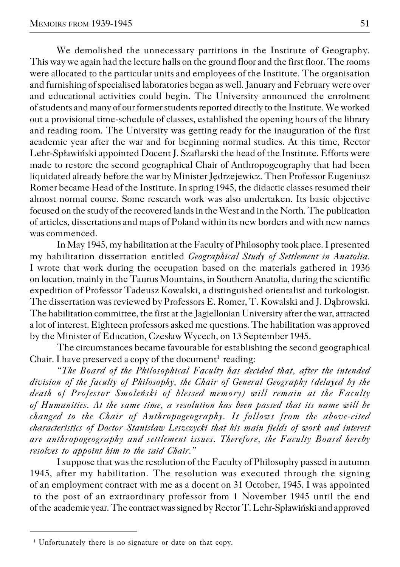We demolished the unnecessary partitions in the Institute of Geography. This way we again had the lecture halls on the ground floor and the first floor. The rooms were allocated to the particular units and employees of the Institute. The organisation and furnishing of specialised laboratories began as well. January and February were over and educational activities could begin. The University announced the enrolment of students and many of our former students reported directly to the Institute. We worked out a provisional time−schedule of classes, established the opening hours of the library and reading room. The University was getting ready for the inauguration of the first academic year after the war and for beginning normal studies. At this time, Rector Lehr−Spławiński appointed Docent J. Szaflarski the head of the Institute. Efforts were made to restore the second geographical Chair of Anthropogeography that had been liquidated already before the war by Minister Jędrzejewicz. Then Professor Eugeniusz Romer became Head of the Institute. In spring 1945, the didactic classes resumed their almost normal course. Some research work was also undertaken. Its basic objective focused on the study of the recovered lands in the West and in the North. The publication of articles, dissertations and maps of Poland within its new borders and with new names was commenced.

In May 1945, my habilitation at the Faculty of Philosophy took place. I presented my habilitation dissertation entitled *Geographical Study of Settlement in Anatolia*. I wrote that work during the occupation based on the materials gathered in 1936 on location, mainly in the Taurus Mountains, in Southern Anatolia, during the scientific expedition of Professor Tadeusz Kowalski, a distinguished orientalist and turkologist. The dissertation was reviewed by Professors E. Romer, T. Kowalski and J. Dąbrowski. The habilitation committee, the first at the Jagiellonian University after the war, attracted a lot of interest. Eighteen professors asked me questions. The habilitation was approved by the Minister of Education, Czesław Wycech, on 13 September 1945.

The circumstances became favourable for establishing the second geographical Chair. I have preserved a copy of the document $^1$  reading:

*"The Board of the Philosophical Faculty has decided that, after the intended division of the faculty of Philosophy, the Chair of General Geography (delayed by the death of Professor Smoleński of blessed memory) will remain at the Faculty of Humanities. At the same time, a resolution has been passed that its name will be changed to the Chair of Anthropogeography. It follows from the above−cited characteristics of Doctor Stanisław Leszczycki that his main fields of work and interest are anthropogeography and settlement issues. Therefore, the Faculty Board hereby resolves to appoint him to the said Chair."*

I suppose that was the resolution of the Faculty of Philosophy passed in autumn 1945, after my habilitation. The resolution was executed through the signing of an employment contract with me as a docent on 31 October, 1945. I was appointed to the post of an extraordinary professor from 1 November 1945 until the end

of the academic year. The contract was signed by Rector T. Lehr-Spławiński and approved

<sup>&</sup>lt;sup>1</sup> Unfortunately there is no signature or date on that copy.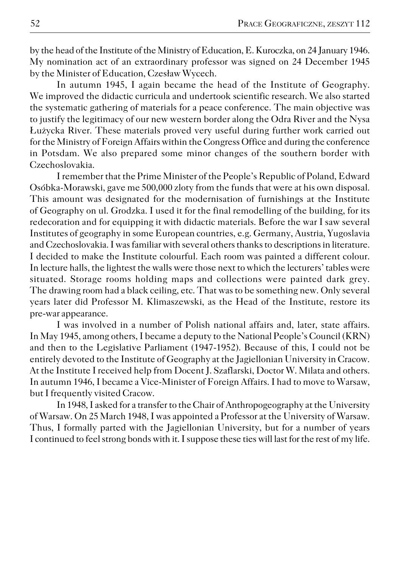by the head of the Institute of the Ministry of Education, E. Kuroczka, on 24 January 1946. My nomination act of an extraordinary professor was signed on 24 December 1945 by the Minister of Education, Czesław Wycech.

In autumn 1945, I again became the head of the Institute of Geography. We improved the didactic curricula and undertook scientific research. We also started the systematic gathering of materials for a peace conference. The main objective was to justify the legitimacy of our new western border along the Odra River and the Nysa Łużycka River. These materials proved very useful during further work carried out for the Ministry of Foreign Affairs within the Congress Office and during the conference in Potsdam. We also prepared some minor changes of the southern border with Czechoslovakia.

I remember that the Prime Minister of the People's Republic of Poland, Edward Osóbka−Morawski, gave me 500,000 zloty from the funds that were at his own disposal. This amount was designated for the modernisation of furnishings at the Institute of Geography on ul. Grodzka. I used it for the final remodelling of the building, for its redecoration and for equipping it with didactic materials. Before the war I saw several Institutes of geography in some European countries, e.g. Germany, Austria, Yugoslavia and Czechoslovakia. I was familiar with several others thanks to descriptions in literature. I decided to make the Institute colourful. Each room was painted a different colour. In lecture halls, the lightest the walls were those next to which the lecturers' tables were situated. Storage rooms holding maps and collections were painted dark grey. The drawing room had a black ceiling, etc. That was to be something new. Only several years later did Professor M. Klimaszewski, as the Head of the Institute, restore its pre−war appearance.

I was involved in a number of Polish national affairs and, later, state affairs. In May 1945, among others, I became a deputy to the National People's Council (KRN) and then to the Legislative Parliament (1947−1952). Because of this, I could not be entirely devoted to the Institute of Geography at the Jagiellonian University in Cracow. At the Institute I received help from Docent J. Szaflarski, Doctor W. Milata and others. In autumn 1946, I became a Vice−Minister of Foreign Affairs. I had to move to Warsaw, but I frequently visited Cracow.

In 1948, I asked for a transfer to the Chair of Anthropogeography at the University of Warsaw. On 25 March 1948, I was appointed a Professor at the University of Warsaw. Thus, I formally parted with the Jagiellonian University, but for a number of years I continued to feel strong bonds with it. I suppose these ties will last for the rest of my life.